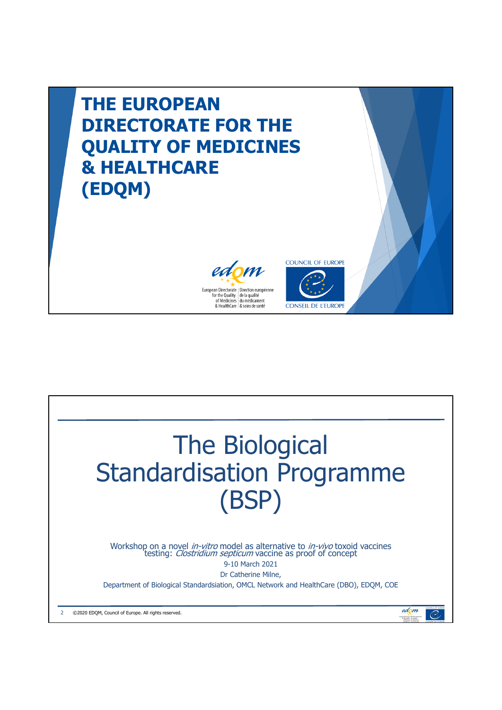

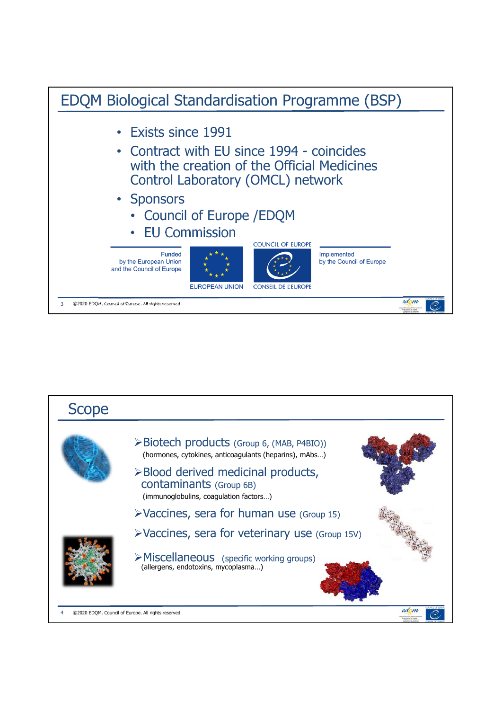

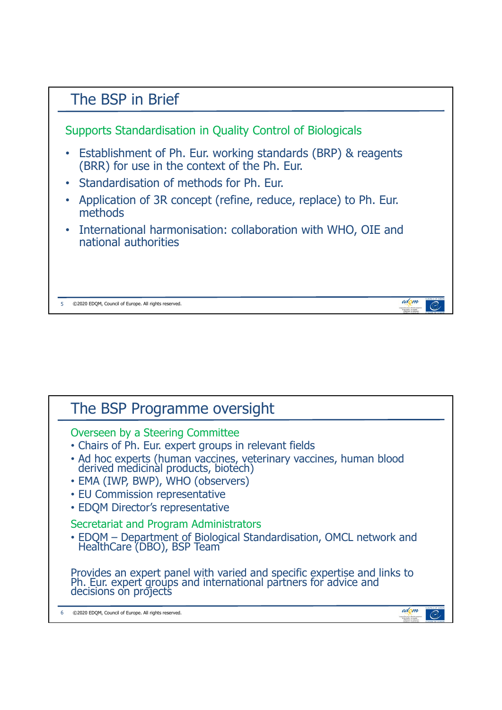

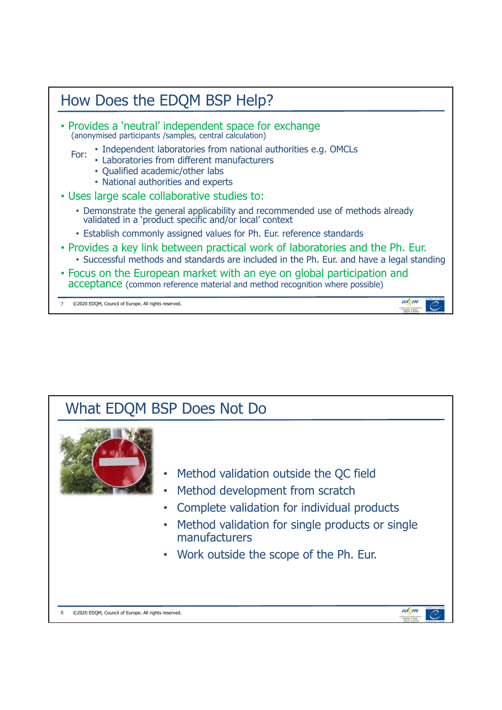

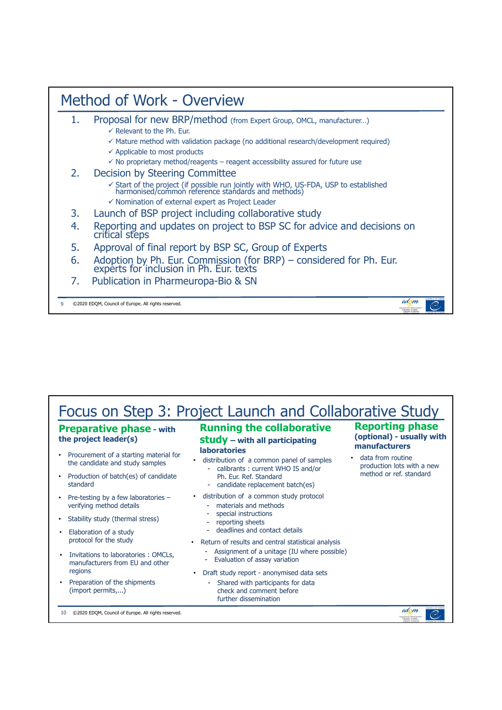## Method of Work - Overview 1. Proposal for new BRP/method (from Expert Group, OMCL, manufacturer...)  $\checkmark$  Relevant to the Ph. Eur.  $\checkmark$  Mature method with validation package (no additional research/development required)  $\checkmark$  Applicable to most products  $\checkmark$  No proprietary method/reagents – reagent accessibility assured for future use 2. Decision by Steering Committee  $\checkmark$  Start of the project (if possible run jointly with WHO, US-FDA, USP to established harmonised/common reference standards and methods)  $\checkmark$  Nomination of external expert as Project Leader 3. Launch of BSP project including collaborative study 4. Reporting and updates on project to BSP SC for advice and decisions on critical steps 5. Approval of final report by BSP SC, Group of Experts 6. Adoption by Ph. Eur. Commission (for BRP) – considered for Ph. Eur. experts for inclusion in Ph. Eur. texts 7. Publication in Pharmeuropa-Bio & SN edom 9 ©2020 EDQM, Council of Europe. All rights reserved.  $\overline{\mathcal{C}}$

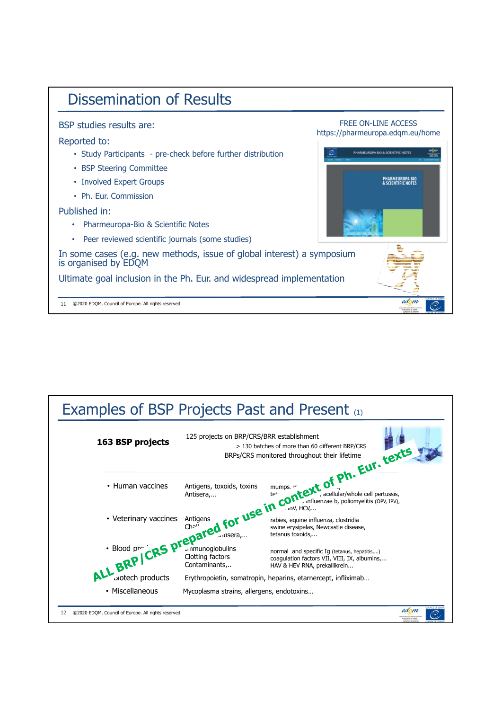

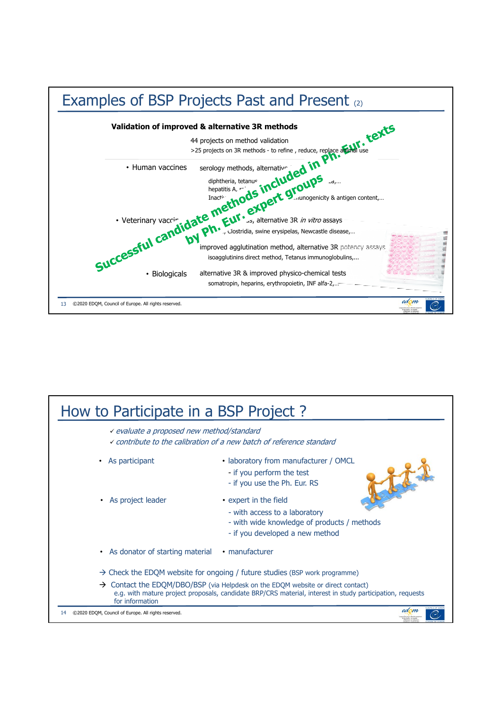